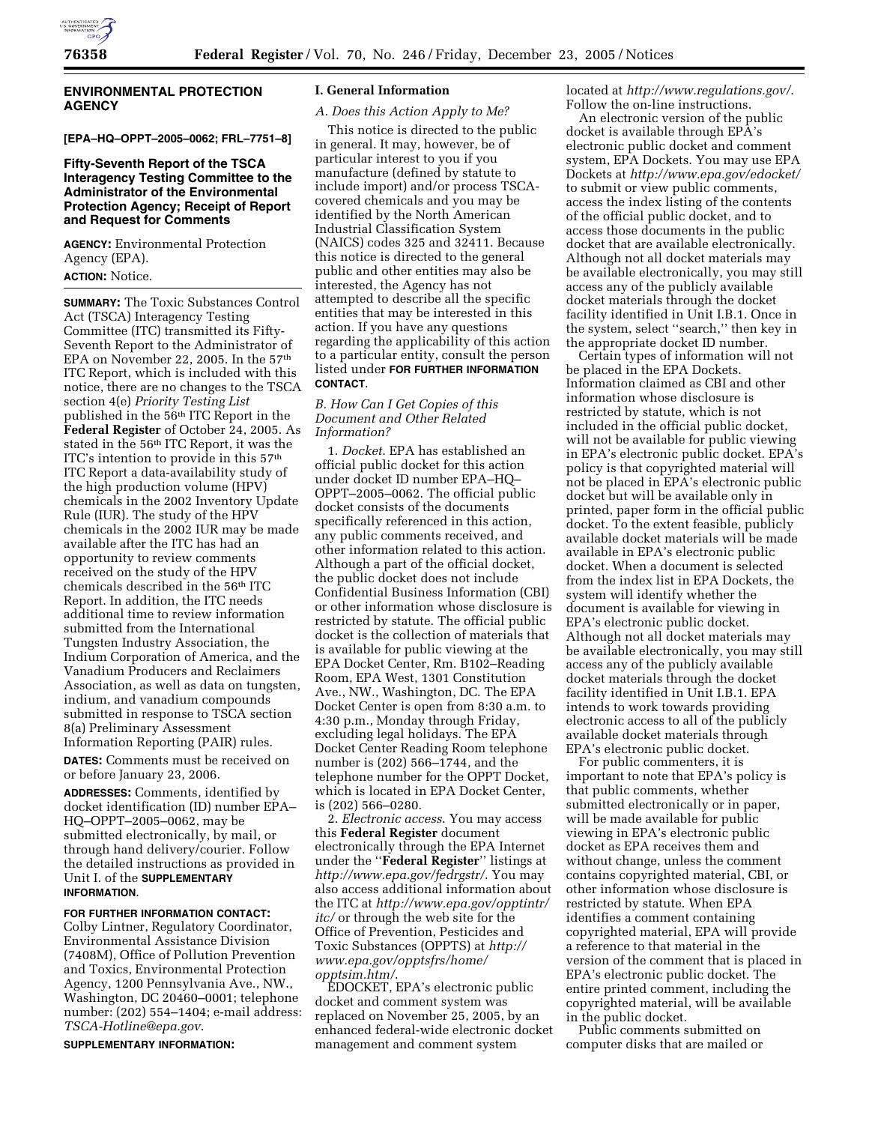

# **ENVIRONMENTAL PROTECTION AGENCY**

# **[EPA–HQ–OPPT–2005–0062; FRL–7751–8]**

# **Fifty-Seventh Report of the TSCA Interagency Testing Committee to the Administrator of the Environmental Protection Agency; Receipt of Report and Request for Comments**

**AGENCY:** Environmental Protection Agency (EPA).

## **ACTION:** Notice.

**SUMMARY:** The Toxic Substances Control Act (TSCA) Interagency Testing Committee (ITC) transmitted its Fifty-Seventh Report to the Administrator of EPA on November 22, 2005. In the 57<sup>th</sup> ITC Report, which is included with this notice, there are no changes to the TSCA section 4(e) *Priority Testing List*  published in the 56th ITC Report in the **Federal Register** of October 24, 2005. As stated in the 56th ITC Report, it was the ITC's intention to provide in this 57<sup>th</sup> ITC Report a data-availability study of the high production volume (HPV) chemicals in the 2002 Inventory Update Rule (IUR). The study of the HPV chemicals in the 2002 IUR may be made available after the ITC has had an opportunity to review comments received on the study of the HPV chemicals described in the 56th ITC Report. In addition, the ITC needs additional time to review information submitted from the International Tungsten Industry Association, the Indium Corporation of America, and the Vanadium Producers and Reclaimers Association, as well as data on tungsten, indium, and vanadium compounds submitted in response to TSCA section 8(a) Preliminary Assessment Information Reporting (PAIR) rules.

**DATES:** Comments must be received on or before January 23, 2006.

**ADDRESSES:** Comments, identified by docket identification (ID) number EPA– HQ–OPPT–2005–0062, may be submitted electronically, by mail, or through hand delivery/courier. Follow the detailed instructions as provided in Unit I. of the **SUPPLEMENTARY INFORMATION**.

#### **FOR FURTHER INFORMATION CONTACT:**

Colby Lintner, Regulatory Coordinator, Environmental Assistance Division (7408M), Office of Pollution Prevention and Toxics, Environmental Protection Agency, 1200 Pennsylvania Ave., NW., Washington, DC 20460–0001; telephone number: (202) 554–1404; e-mail address: *TSCA-Hotline@epa.gov*.

**SUPPLEMENTARY INFORMATION:** 

#### **I. General Information**

### *A. Does this Action Apply to Me?*

This notice is directed to the public in general. It may, however, be of particular interest to you if you manufacture (defined by statute to include import) and/or process TSCAcovered chemicals and you may be identified by the North American Industrial Classification System (NAICS) codes 325 and 32411. Because this notice is directed to the general public and other entities may also be interested, the Agency has not attempted to describe all the specific entities that may be interested in this action. If you have any questions regarding the applicability of this action to a particular entity, consult the person listed under **FOR FURTHER INFORMATION CONTACT**.

## *B. How Can I Get Copies of this Document and Other Related Information?*

1. *Docket*. EPA has established an official public docket for this action under docket ID number EPA–HQ– OPPT–2005–0062. The official public docket consists of the documents specifically referenced in this action, any public comments received, and other information related to this action. Although a part of the official docket, the public docket does not include Confidential Business Information (CBI) or other information whose disclosure is restricted by statute. The official public docket is the collection of materials that is available for public viewing at the EPA Docket Center, Rm. B102–Reading Room, EPA West, 1301 Constitution Ave., NW., Washington, DC. The EPA Docket Center is open from 8:30 a.m. to 4:30 p.m., Monday through Friday, excluding legal holidays. The EPA Docket Center Reading Room telephone number is (202) 566–1744, and the telephone number for the OPPT Docket, which is located in EPA Docket Center, is (202) 566–0280.

2. *Electronic access*. You may access this **Federal Register** document electronically through the EPA Internet under the ''**Federal Register**'' listings at *http://www.epa.gov/fedrgstr/*. You may also access additional information about the ITC at *http://www.epa.gov/opptintr/ itc/* or through the web site for the Office of Prevention, Pesticides and Toxic Substances (OPPTS) at *http:// www.epa.gov/opptsfrs/home/ opptsim.htm/*.

EDOCKET, EPA's electronic public docket and comment system was replaced on November 25, 2005, by an enhanced federal-wide electronic docket management and comment system

located at *http://www.regulations.gov/*. Follow the on-line instructions.

An electronic version of the public docket is available through EPA's electronic public docket and comment system, EPA Dockets. You may use EPA Dockets at *http://www.epa.gov/edocket/*  to submit or view public comments, access the index listing of the contents of the official public docket, and to access those documents in the public docket that are available electronically. Although not all docket materials may be available electronically, you may still access any of the publicly available docket materials through the docket facility identified in Unit I.B.1. Once in the system, select ''search,'' then key in the appropriate docket ID number.

Certain types of information will not be placed in the EPA Dockets. Information claimed as CBI and other information whose disclosure is restricted by statute, which is not included in the official public docket, will not be available for public viewing in EPA's electronic public docket. EPA's policy is that copyrighted material will not be placed in EPA's electronic public docket but will be available only in printed, paper form in the official public docket. To the extent feasible, publicly available docket materials will be made available in EPA's electronic public docket. When a document is selected from the index list in EPA Dockets, the system will identify whether the document is available for viewing in EPA's electronic public docket. Although not all docket materials may be available electronically, you may still access any of the publicly available docket materials through the docket facility identified in Unit I.B.1. EPA intends to work towards providing electronic access to all of the publicly available docket materials through EPA's electronic public docket.

For public commenters, it is important to note that EPA's policy is that public comments, whether submitted electronically or in paper, will be made available for public viewing in EPA's electronic public docket as EPA receives them and without change, unless the comment contains copyrighted material, CBI, or other information whose disclosure is restricted by statute. When EPA identifies a comment containing copyrighted material, EPA will provide a reference to that material in the version of the comment that is placed in EPA's electronic public docket. The entire printed comment, including the copyrighted material, will be available in the public docket.

Public comments submitted on computer disks that are mailed or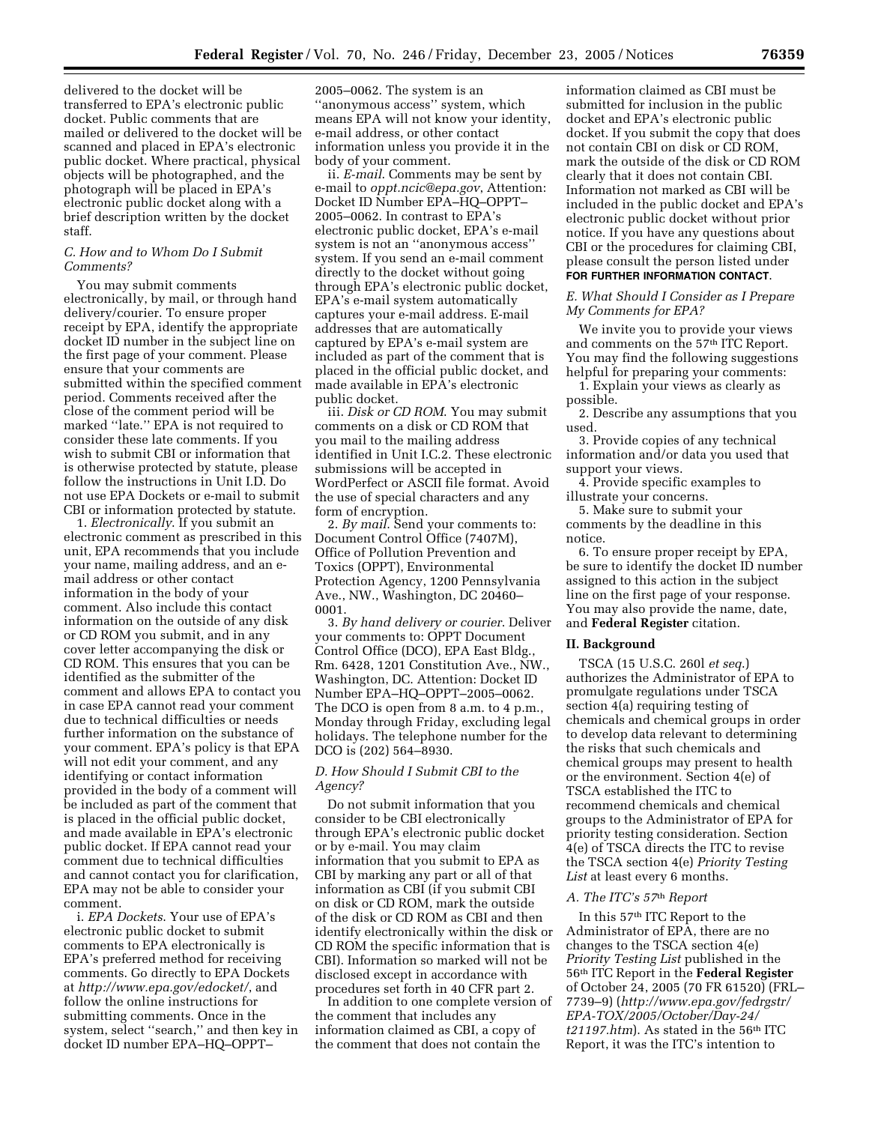delivered to the docket will be transferred to EPA's electronic public docket. Public comments that are mailed or delivered to the docket will be scanned and placed in EPA's electronic public docket. Where practical, physical objects will be photographed, and the photograph will be placed in EPA's electronic public docket along with a brief description written by the docket staff.

## *C. How and to Whom Do I Submit Comments?*

You may submit comments electronically, by mail, or through hand delivery/courier. To ensure proper receipt by EPA, identify the appropriate docket ID number in the subject line on the first page of your comment. Please ensure that your comments are submitted within the specified comment period. Comments received after the close of the comment period will be marked ''late.'' EPA is not required to consider these late comments. If you wish to submit CBI or information that is otherwise protected by statute, please follow the instructions in Unit I.D. Do not use EPA Dockets or e-mail to submit CBI or information protected by statute.

1. *Electronically*. If you submit an electronic comment as prescribed in this unit, EPA recommends that you include your name, mailing address, and an email address or other contact information in the body of your comment. Also include this contact information on the outside of any disk or CD ROM you submit, and in any cover letter accompanying the disk or CD ROM. This ensures that you can be identified as the submitter of the comment and allows EPA to contact you in case EPA cannot read your comment due to technical difficulties or needs further information on the substance of your comment. EPA's policy is that EPA will not edit your comment, and any identifying or contact information provided in the body of a comment will be included as part of the comment that is placed in the official public docket, and made available in EPA's electronic public docket. If EPA cannot read your comment due to technical difficulties and cannot contact you for clarification, EPA may not be able to consider your comment.

i. *EPA Dockets*. Your use of EPA's electronic public docket to submit comments to EPA electronically is EPA's preferred method for receiving comments. Go directly to EPA Dockets at *http://www.epa.gov/edocket/*, and follow the online instructions for submitting comments. Once in the system, select ''search,'' and then key in docket ID number EPA–HQ–OPPT–

2005–0062. The system is an ''anonymous access'' system, which means EPA will not know your identity, e-mail address, or other contact information unless you provide it in the body of your comment.

ii. *E-mail*. Comments may be sent by e-mail to *oppt.ncic@epa.gov*, Attention: Docket ID Number EPA–HQ–OPPT– 2005–0062. In contrast to EPA's electronic public docket, EPA's e-mail system is not an ''anonymous access'' system. If you send an e-mail comment directly to the docket without going through EPA's electronic public docket, EPA's e-mail system automatically captures your e-mail address. E-mail addresses that are automatically captured by EPA's e-mail system are included as part of the comment that is placed in the official public docket, and made available in EPA's electronic public docket.

iii. *Disk or CD ROM*. You may submit comments on a disk or CD ROM that you mail to the mailing address identified in Unit I.C.2. These electronic submissions will be accepted in WordPerfect or ASCII file format. Avoid the use of special characters and any form of encryption.

2. *By mail*. Send your comments to: Document Control Office (7407M), Office of Pollution Prevention and Toxics (OPPT), Environmental Protection Agency, 1200 Pennsylvania Ave., NW., Washington, DC 20460– 0001.

3. *By hand delivery or courier*. Deliver your comments to: OPPT Document Control Office (DCO), EPA East Bldg., Rm. 6428, 1201 Constitution Ave., NW., Washington, DC. Attention: Docket ID Number EPA–HQ–OPPT–2005–0062. The DCO is open from 8 a.m. to 4 p.m., Monday through Friday, excluding legal holidays. The telephone number for the DCO is (202) 564–8930.

# *D. How Should I Submit CBI to the Agency?*

Do not submit information that you consider to be CBI electronically through EPA's electronic public docket or by e-mail. You may claim information that you submit to EPA as CBI by marking any part or all of that information as CBI (if you submit CBI on disk or CD ROM, mark the outside of the disk or CD ROM as CBI and then identify electronically within the disk or CD ROM the specific information that is CBI). Information so marked will not be disclosed except in accordance with procedures set forth in 40 CFR part 2.

In addition to one complete version of the comment that includes any information claimed as CBI, a copy of the comment that does not contain the

information claimed as CBI must be submitted for inclusion in the public docket and EPA's electronic public docket. If you submit the copy that does not contain CBI on disk or CD ROM, mark the outside of the disk or CD ROM clearly that it does not contain CBI. Information not marked as CBI will be included in the public docket and EPA's electronic public docket without prior notice. If you have any questions about CBI or the procedures for claiming CBI, please consult the person listed under **FOR FURTHER INFORMATION CONTACT**.

### *E. What Should I Consider as I Prepare My Comments for EPA?*

We invite you to provide your views and comments on the 57th ITC Report. You may find the following suggestions helpful for preparing your comments:

1. Explain your views as clearly as possible.

2. Describe any assumptions that you used.

3. Provide copies of any technical information and/or data you used that support your views.

4. Provide specific examples to illustrate your concerns.

5. Make sure to submit your comments by the deadline in this notice.

6. To ensure proper receipt by EPA, be sure to identify the docket ID number assigned to this action in the subject line on the first page of your response. You may also provide the name, date, and **Federal Register** citation.

#### **II. Background**

TSCA (15 U.S.C. 260l *et seq*.) authorizes the Administrator of EPA to promulgate regulations under TSCA section 4(a) requiring testing of chemicals and chemical groups in order to develop data relevant to determining the risks that such chemicals and chemical groups may present to health or the environment. Section 4(e) of TSCA established the ITC to recommend chemicals and chemical groups to the Administrator of EPA for priority testing consideration. Section 4(e) of TSCA directs the ITC to revise the TSCA section 4(e) *Priority Testing*  List at least every 6 months.

#### *A. The ITC's 57*th *Report*

In this 57th ITC Report to the Administrator of EPA, there are no changes to the TSCA section 4(e) *Priority Testing List* published in the 56th ITC Report in the **Federal Register**  of October 24, 2005 (70 FR 61520) (FRL– 7739–9) (*http://www.epa.gov/fedrgstr/ EPA-TOX/2005/October/Day-24/ t21197.htm*). As stated in the 56th ITC Report, it was the ITC's intention to